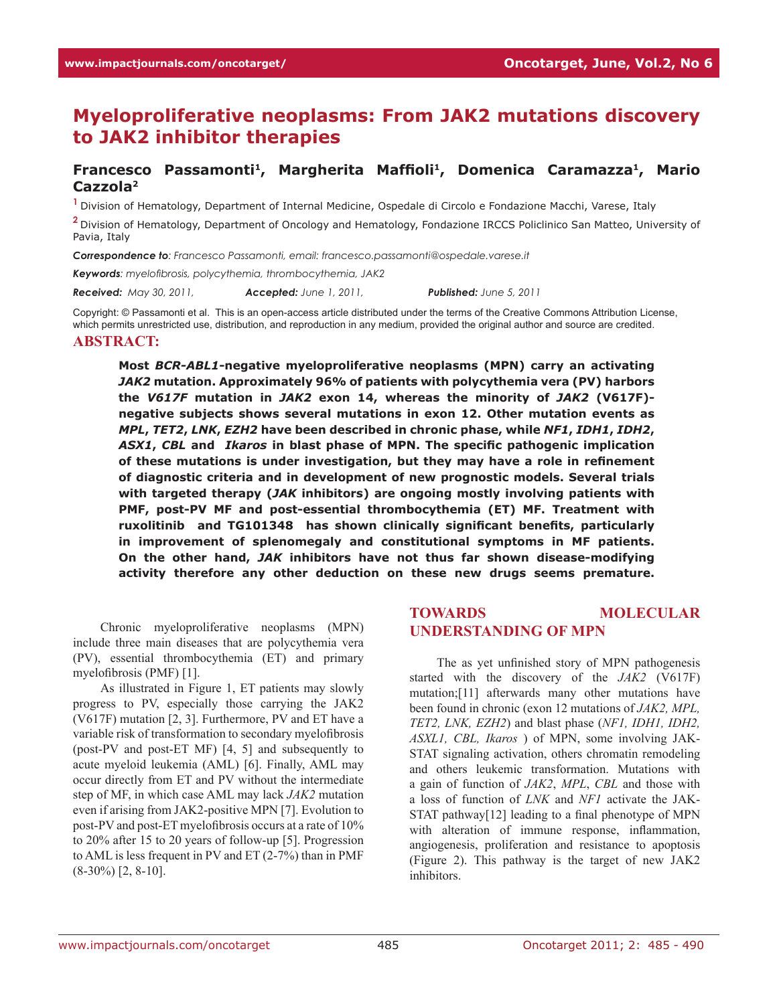# **Myeloproliferative neoplasms: From JAK2 mutations discovery to JAK2 inhibitor therapies**

## **Francesco Passamonti1, Margherita Maffioli1, Domenica Caramazza1, Mario Cazzola2**

<sup>1</sup> Division of Hematology, Department of Internal Medicine, Ospedale di Circolo e Fondazione Macchi, Varese, Italy

**<sup>2</sup>**Division of Hematology, Department of Oncology and Hematology, Fondazione IRCCS Policlinico San Matteo, University of Pavia, Italy

*Correspondence to: Francesco Passamonti, email: francesco.passamonti@ospedale.varese.it*

*Keywords: myelofibrosis, polycythemia, thrombocythemia, JAK2*

*Received: May 30, 2011, Accepted: June 1, 2011, Published: June 5, 2011*

Copyright: © Passamonti et al. This is an open-access article distributed under the terms of the Creative Commons Attribution License, which permits unrestricted use, distribution, and reproduction in any medium, provided the original author and source are credited. **Abstract:**

**Most** *BCR-ABL1***-negative myeloproliferative neoplasms (MPN) carry an activating**  *JAK2* **mutation. Approximately 96% of patients with polycythemia vera (PV) harbors the** *V617F* **mutation in** *JAK2* **exon 14, whereas the minority of** *JAK2* **(V617F) negative subjects shows several mutations in exon 12. Other mutation events as**  *MPL***,** *TET2***,** *LNK***,** *EZH2* **have been described in chronic phase, while** *NF1***,** *IDH1***,** *IDH2***,**  *ASX1***,** *CBL* **and** *Ikaros* **in blast phase of MPN. The specific pathogenic implication of these mutations is under investigation, but they may have a role in refinement of diagnostic criteria and in development of new prognostic models. Several trials with targeted therapy (***JAK* **inhibitors) are ongoing mostly involving patients with PMF, post-PV MF and post-essential thrombocythemia (ET) MF. Treatment with ruxolitinib and TG101348 has shown clinically significant benefits, particularly in improvement of splenomegaly and constitutional symptoms in MF patients. On the other hand,** *JAK* **inhibitors have not thus far shown disease-modifying activity therefore any other deduction on these new drugs seems premature.**

Chronic myeloproliferative neoplasms (MPN) include three main diseases that are polycythemia vera (PV), essential thrombocythemia (ET) and primary myelofibrosis (PMF) [1].

As illustrated in Figure 1, ET patients may slowly progress to PV, especially those carrying the JAK2 (V617F) mutation [2, 3]. Furthermore, PV and ET have a variable risk of transformation to secondary myelofibrosis (post-PV and post-ET MF) [4, 5] and subsequently to acute myeloid leukemia (AML) [6]. Finally, AML may occur directly from ET and PV without the intermediate step of MF, in which case AML may lack *JAK2* mutation even if arising from JAK2-positive MPN [7]. Evolution to post-PV and post-ET myelofibrosis occurs at a rate of 10% to 20% after 15 to 20 years of follow-up [5]. Progression to AML is less frequent in PV and ET (2-7%) than in PMF (8-30%) [2, 8-10].

## **Towards molecular understanding of MPN**

The as yet unfinished story of MPN pathogenesis started with the discovery of the *JAK2* (V617F) mutation;[11] afterwards many other mutations have been found in chronic (exon 12 mutations of *JAK2, MPL, TET2, LNK, EZH2*) and blast phase (*NF1, IDH1, IDH2, ASXL1, CBL, Ikaros* ) of MPN, some involving JAK-STAT signaling activation, others chromatin remodeling and others leukemic transformation. Mutations with a gain of function of *JAK2*, *MPL*, *CBL* and those with a loss of function of *LNK* and *NF1* activate the JAK-STAT pathway[12] leading to a final phenotype of MPN with alteration of immune response, inflammation, angiogenesis, proliferation and resistance to apoptosis (Figure 2). This pathway is the target of new JAK2 inhibitors.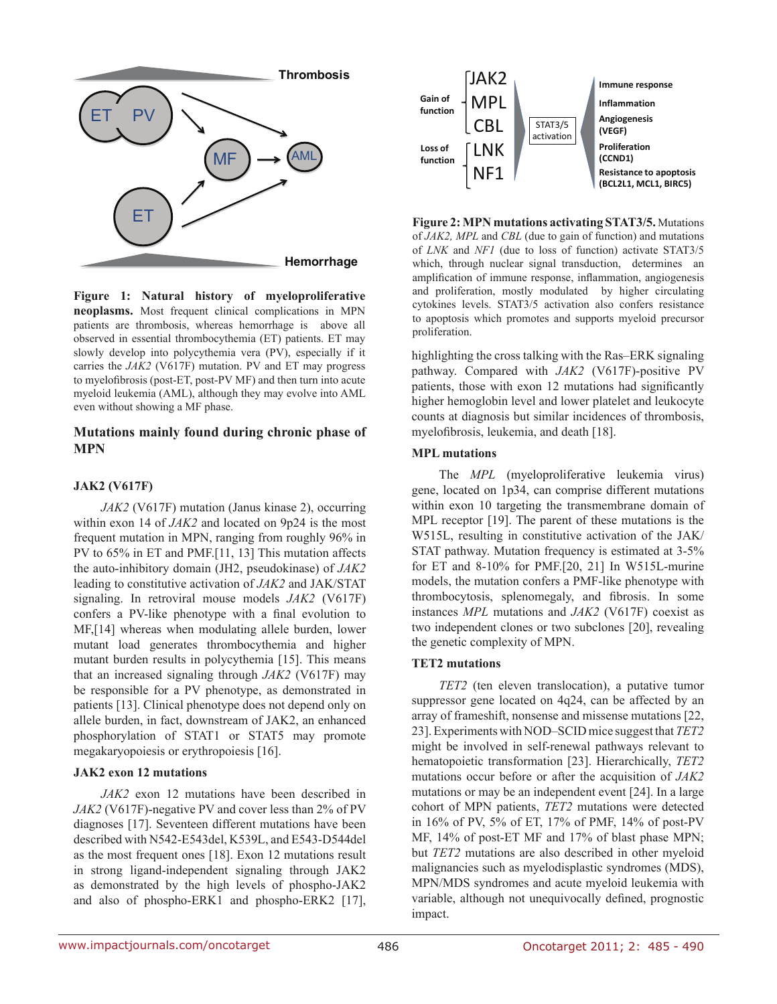

**Figure 1: Natural history of myeloproliferative neoplasms.** Most frequent clinical complications in MPN patients are thrombosis, whereas hemorrhage is above all observed in essential thrombocythemia (ET) patients. ET may slowly develop into polycythemia vera (PV), especially if it carries the *JAK2* (V617F) mutation. PV and ET may progress to myelofibrosis (post-ET, post-PV MF) and then turn into acute myeloid leukemia (AML), although they may evolve into AML even without showing a MF phase.

## **Mutations mainly found during chronic phase of MPN**

#### **JAK2 (V617F)**

*JAK2* (V617F) mutation (Janus kinase 2), occurring within exon 14 of *JAK2* and located on 9p24 is the most frequent mutation in MPN, ranging from roughly 96% in PV to 65% in ET and PMF.[11, 13] This mutation affects the auto-inhibitory domain (JH2, pseudokinase) of *JAK2* leading to constitutive activation of *JAK2* and JAK/STAT signaling. In retroviral mouse models *JAK2* (V617F) confers a PV-like phenotype with a final evolution to MF,[14] whereas when modulating allele burden, lower mutant load generates thrombocythemia and higher mutant burden results in polycythemia [15]. This means that an increased signaling through *JAK2* (V617F) may be responsible for a PV phenotype, as demonstrated in patients [13]. Clinical phenotype does not depend only on allele burden, in fact, downstream of JAK2, an enhanced phosphorylation of STAT1 or STAT5 may promote megakaryopoiesis or erythropoiesis [16].

#### **JAK2 exon 12 mutations**

*JAK2* exon 12 mutations have been described in *JAK2* (V617F)-negative PV and cover less than 2% of PV diagnoses [17]. Seventeen different mutations have been described with N542-E543del, K539L, and E543-D544del as the most frequent ones [18]. Exon 12 mutations result in strong ligand-independent signaling through JAK2 as demonstrated by the high levels of phospho-JAK2 and also of phospho-ERK1 and phospho-ERK2 [17],



**Figure 2: MPN mutations activating STAT3/5.** Mutations of *JAK2, MPL* and *CBL* (due to gain of function) and mutations of *LNK* and *NF1* (due to loss of function) activate STAT3/5 which, through nuclear signal transduction, determines an amplification of immune response, inflammation, angiogenesis and proliferation, mostly modulated by higher circulating cytokines levels. STAT3/5 activation also confers resistance to apoptosis which promotes and supports myeloid precursor proliferation.

highlighting the cross talking with the Ras–ERK signaling pathway. Compared with *JAK2* (V617F)-positive PV patients, those with exon 12 mutations had significantly higher hemoglobin level and lower platelet and leukocyte counts at diagnosis but similar incidences of thrombosis, myelofibrosis, leukemia, and death [18].

#### **MPL mutations**

The *MPL* (myeloproliferative leukemia virus) gene, located on 1p34, can comprise different mutations within exon 10 targeting the transmembrane domain of MPL receptor [19]. The parent of these mutations is the W515L, resulting in constitutive activation of the JAK/ STAT pathway. Mutation frequency is estimated at 3-5% for ET and 8-10% for PMF.[20, 21] In W515L-murine models, the mutation confers a PMF-like phenotype with thrombocytosis, splenomegaly, and fibrosis. In some instances *MPL* mutations and *JAK2* (V617F) coexist as two independent clones or two subclones [20], revealing the genetic complexity of MPN.

#### **TET2 mutations**

*TET2* (ten eleven translocation), a putative tumor suppressor gene located on 4q24, can be affected by an array of frameshift, nonsense and missense mutations [22, 23]. Experiments with NOD–SCID mice suggest that *TET2* might be involved in self-renewal pathways relevant to hematopoietic transformation [23]. Hierarchically, *TET2* mutations occur before or after the acquisition of *JAK2* mutations or may be an independent event [24]. In a large cohort of MPN patients, *TET2* mutations were detected in 16% of PV, 5% of ET, 17% of PMF, 14% of post-PV MF, 14% of post-ET MF and 17% of blast phase MPN; but *TET2* mutations are also described in other myeloid malignancies such as myelodisplastic syndromes (MDS), MPN/MDS syndromes and acute myeloid leukemia with variable, although not unequivocally defined, prognostic impact.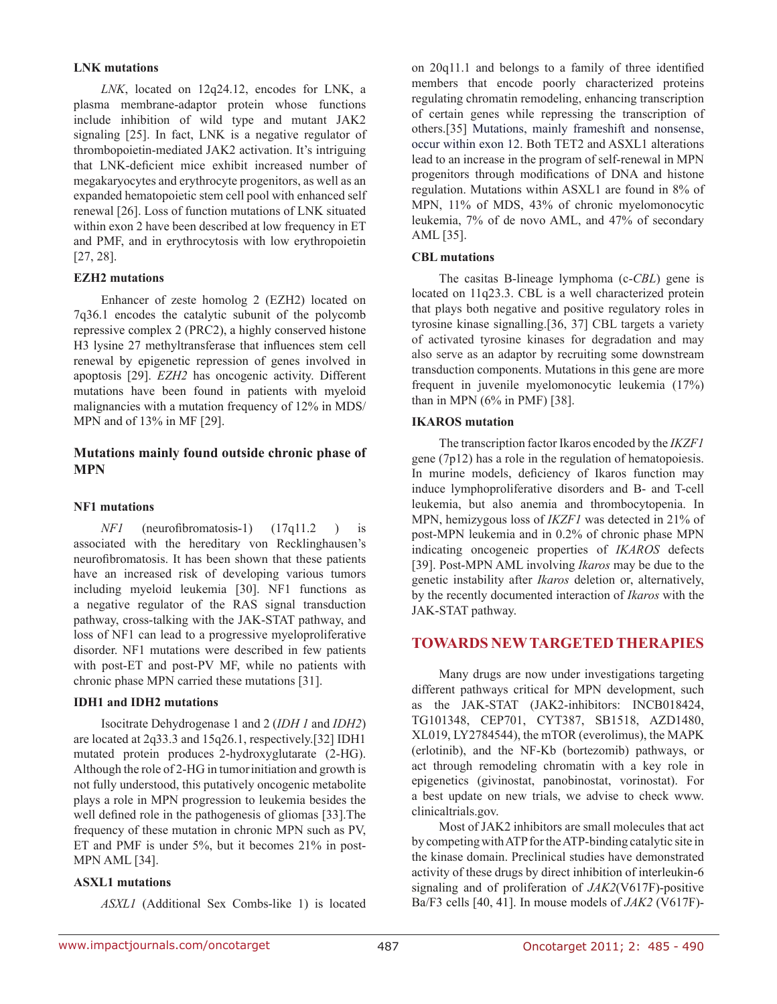#### **LNK mutations**

*LNK*, located on 12q24.12, encodes for LNK, a plasma membrane-adaptor protein whose functions include inhibition of wild type and mutant JAK2 signaling [25]. In fact, LNK is a negative regulator of thrombopoietin-mediated JAK2 activation. It's intriguing that LNK-deficient mice exhibit increased number of megakaryocytes and erythrocyte progenitors, as well as an expanded hematopoietic stem cell pool with enhanced self renewal [26]. Loss of function mutations of LNK situated within exon 2 have been described at low frequency in ET and PMF, and in erythrocytosis with low erythropoietin [27, 28].

#### **EZH2 mutations**

Enhancer of zeste homolog 2 (EZH2) located on 7q36.1 encodes the catalytic subunit of the polycomb repressive complex 2 (PRC2), a highly conserved histone H3 lysine 27 methyltransferase that influences stem cell renewal by epigenetic repression of genes involved in apoptosis [29]. *EZH2* has oncogenic activity. Different mutations have been found in patients with myeloid malignancies with a mutation frequency of 12% in MDS/ MPN and of 13% in MF [29].

## **Mutations mainly found outside chronic phase of MPN**

#### **NF1 mutations**

*NF1* (neurofibromatosis-1) (17q11.2 ) is associated with the hereditary von Recklinghausen's neurofibromatosis. It has been shown that these patients have an increased risk of developing various tumors including myeloid leukemia [30]. NF1 functions as a negative regulator of the RAS signal transduction pathway, cross-talking with the JAK-STAT pathway, and loss of NF1 can lead to a progressive myeloproliferative disorder. NF1 mutations were described in few patients with post-ET and post-PV MF, while no patients with chronic phase MPN carried these mutations [31].

#### **IDH1 and IDH2 mutations**

Isocitrate Dehydrogenase 1 and 2 (*IDH 1* and *IDH2*) are located at 2q33.3 and 15q26.1, respectively.[32] IDH1 mutated protein produces 2-hydroxyglutarate (2-HG). Although the role of 2-HG in tumorinitiation and growth is not fully understood, this putatively oncogenic metabolite plays a role in MPN progression to leukemia besides the well defined role in the pathogenesis of gliomas [33].The frequency of these mutation in chronic MPN such as PV, ET and PMF is under 5%, but it becomes 21% in post-MPN AML [34].

## **ASXL1 mutations**

*ASXL1* (Additional Sex Combs-like 1) is located

on 20q11.1 and belongs to a family of three identified members that encode poorly characterized proteins regulating chromatin remodeling, enhancing transcription of certain genes while repressing the transcription of others.[35] Mutations, mainly frameshift and nonsense, occur within exon 12. Both TET2 and ASXL1 alterations lead to an increase in the program of self-renewal in MPN progenitors through modifications of DNA and histone regulation. Mutations within ASXL1 are found in 8% of MPN, 11% of MDS, 43% of chronic myelomonocytic leukemia, 7% of de novo AML, and 47% of secondary AML [35].

#### **CBL mutations**

The casitas B-lineage lymphoma (c-*CBL*) gene is located on 11q23.3. CBL is a well characterized protein that plays both negative and positive regulatory roles in tyrosine kinase signalling.[36, 37] CBL targets a variety of activated tyrosine kinases for degradation and may also serve as an adaptor by recruiting some downstream transduction components. Mutations in this gene are more frequent in juvenile myelomonocytic leukemia (17%) than in MPN (6% in PMF) [38].

#### **IKAROS mutation**

The transcription factor Ikaros encoded by the *IKZF1* gene (7p12) has a role in the regulation of hematopoiesis. In murine models, deficiency of Ikaros function may induce lymphoproliferative disorders and B- and T-cell leukemia, but also anemia and thrombocytopenia. In MPN, hemizygous loss of *IKZF1* was detected in 21% of post-MPN leukemia and in 0.2% of chronic phase MPN indicating oncogeneic properties of *IKAROS* defects [39]. Post-MPN AML involving *Ikaros* may be due to the genetic instability after *Ikaros* deletion or, alternatively, by the recently documented interaction of *Ikaros* with the JAK-STAT pathway.

## **Towards new targeted therapies**

Many drugs are now under investigations targeting different pathways critical for MPN development, such as the JAK-STAT (JAK2-inhibitors: INCB018424, TG101348, CEP701, CYT387, SB1518, AZD1480, XL019, LY2784544), the mTOR (everolimus), the MAPK (erlotinib), and the NF-Kb (bortezomib) pathways, or act through remodeling chromatin with a key role in epigenetics (givinostat, panobinostat, vorinostat). For a best update on new trials, we advise to check www. clinicaltrials.gov.

Most of JAK2 inhibitors are small molecules that act by competing with ATP for the ATP-binding catalytic site in the kinase domain. Preclinical studies have demonstrated activity of these drugs by direct inhibition of interleukin-6 signaling and of proliferation of *JAK2*(V617F)-positive Ba/F3 cells [40, 41]. In mouse models of *JAK2* (V617F)-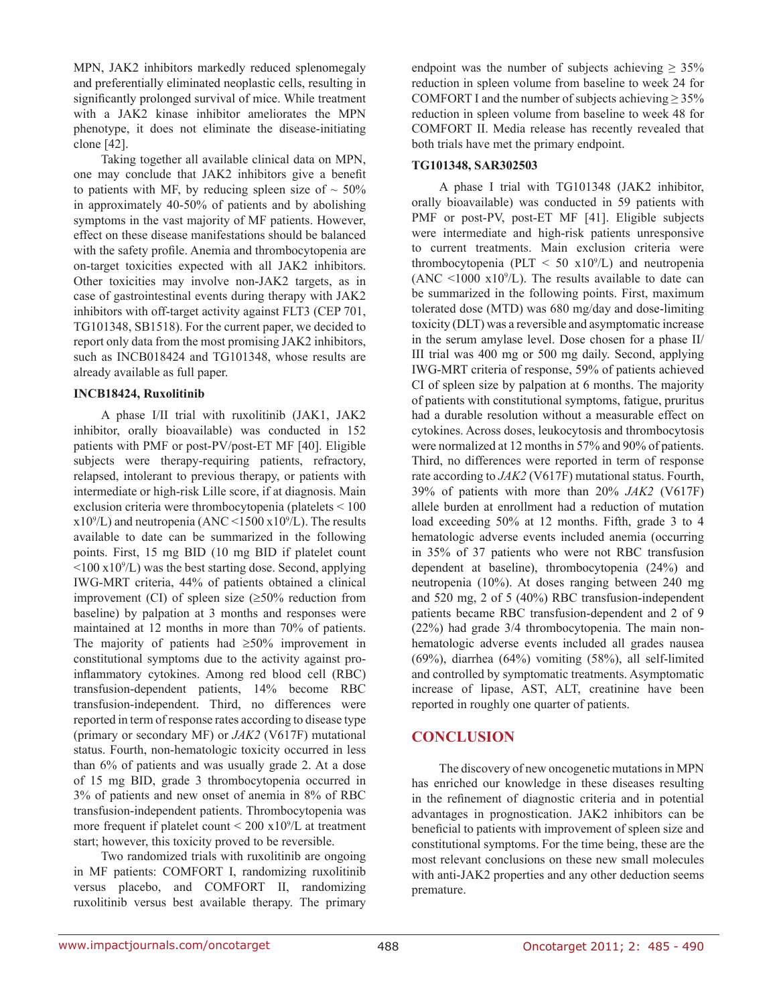MPN, JAK2 inhibitors markedly reduced splenomegaly and preferentially eliminated neoplastic cells, resulting in significantly prolonged survival of mice. While treatment with a JAK2 kinase inhibitor ameliorates the MPN phenotype, it does not eliminate the disease-initiating clone [42].

Taking together all available clinical data on MPN, one may conclude that JAK2 inhibitors give a benefit to patients with MF, by reducing spleen size of  $\sim$  50% in approximately 40-50% of patients and by abolishing symptoms in the vast majority of MF patients. However, effect on these disease manifestations should be balanced with the safety profile. Anemia and thrombocytopenia are on-target toxicities expected with all JAK2 inhibitors. Other toxicities may involve non-JAK2 targets, as in case of gastrointestinal events during therapy with JAK2 inhibitors with off-target activity against FLT3 (CEP 701, TG101348, SB1518). For the current paper, we decided to report only data from the most promising JAK2 inhibitors, such as INCB018424 and TG101348, whose results are already available as full paper.

#### **INCB18424, Ruxolitinib**

A phase I/II trial with ruxolitinib (JAK1, JAK2 inhibitor, orally bioavailable) was conducted in 152 patients with PMF or post-PV/post-ET MF [40]. Eligible subjects were therapy-requiring patients, refractory, relapsed, intolerant to previous therapy, or patients with intermediate or high-risk Lille score, if at diagnosis. Main exclusion criteria were thrombocytopenia (platelets < 100  $x10<sup>9</sup>/L$ ) and neutropenia (ANC <1500  $x10<sup>9</sup>/L$ ). The results available to date can be summarized in the following points. First, 15 mg BID (10 mg BID if platelet count  $\leq 100 \text{ x} 10^9$ /L) was the best starting dose. Second, applying IWG-MRT criteria, 44% of patients obtained a clinical improvement (CI) of spleen size  $(\geq 50\%$  reduction from baseline) by palpation at 3 months and responses were maintained at 12 months in more than 70% of patients. The majority of patients had ≥50% improvement in constitutional symptoms due to the activity against proinflammatory cytokines. Among red blood cell (RBC) transfusion-dependent patients, 14% become RBC transfusion-independent. Third, no differences were reported in term of response rates according to disease type (primary or secondary MF) or *JAK2* (V617F) mutational status. Fourth, non-hematologic toxicity occurred in less than 6% of patients and was usually grade 2. At a dose of 15 mg BID, grade 3 thrombocytopenia occurred in 3% of patients and new onset of anemia in 8% of RBC transfusion-independent patients. Thrombocytopenia was more frequent if platelet count  $\leq 200 \text{ x}10^9$ /L at treatment start; however, this toxicity proved to be reversible.

Two randomized trials with ruxolitinib are ongoing in MF patients: COMFORT I, randomizing ruxolitinib versus placebo, and COMFORT II, randomizing ruxolitinib versus best available therapy. The primary endpoint was the number of subjects achieving  $\geq 35\%$ reduction in spleen volume from baseline to week 24 for COMFORT I and the number of subjects achieving  $\geq$  35% reduction in spleen volume from baseline to week 48 for COMFORT II. Media release has recently revealed that both trials have met the primary endpoint.

## **TG101348, SAR302503**

A phase I trial with TG101348 (JAK2 inhibitor, orally bioavailable) was conducted in 59 patients with PMF or post-PV, post-ET MF [41]. Eligible subjects were intermediate and high-risk patients unresponsive to current treatments. Main exclusion criteria were thrombocytopenia (PLT  $\leq$  50 x10<sup>9</sup>/L) and neutropenia  $(ANC < 1000 x10<sup>9</sup>/L)$ . The results available to date can be summarized in the following points. First, maximum tolerated dose (MTD) was 680 mg/day and dose-limiting toxicity (DLT) was a reversible and asymptomatic increase in the serum amylase level. Dose chosen for a phase II/ III trial was 400 mg or 500 mg daily. Second, applying IWG-MRT criteria of response, 59% of patients achieved CI of spleen size by palpation at 6 months. The majority of patients with constitutional symptoms, fatigue, pruritus had a durable resolution without a measurable effect on cytokines. Across doses, leukocytosis and thrombocytosis were normalized at 12 months in 57% and 90% of patients. Third, no differences were reported in term of response rate according to *JAK2* (V617F) mutational status. Fourth, 39% of patients with more than 20% *JAK2* (V617F) allele burden at enrollment had a reduction of mutation load exceeding 50% at 12 months. Fifth, grade 3 to 4 hematologic adverse events included anemia (occurring in 35% of 37 patients who were not RBC transfusion dependent at baseline), thrombocytopenia (24%) and neutropenia (10%). At doses ranging between 240 mg and 520 mg, 2 of 5 (40%) RBC transfusion-independent patients became RBC transfusion-dependent and 2 of 9 (22%) had grade 3/4 thrombocytopenia. The main nonhematologic adverse events included all grades nausea (69%), diarrhea (64%) vomiting (58%), all self-limited and controlled by symptomatic treatments. Asymptomatic increase of lipase, AST, ALT, creatinine have been reported in roughly one quarter of patients.

## **Conclusion**

The discovery of new oncogenetic mutations in MPN has enriched our knowledge in these diseases resulting in the refinement of diagnostic criteria and in potential advantages in prognostication. JAK2 inhibitors can be beneficial to patients with improvement of spleen size and constitutional symptoms. For the time being, these are the most relevant conclusions on these new small molecules with anti-JAK2 properties and any other deduction seems premature.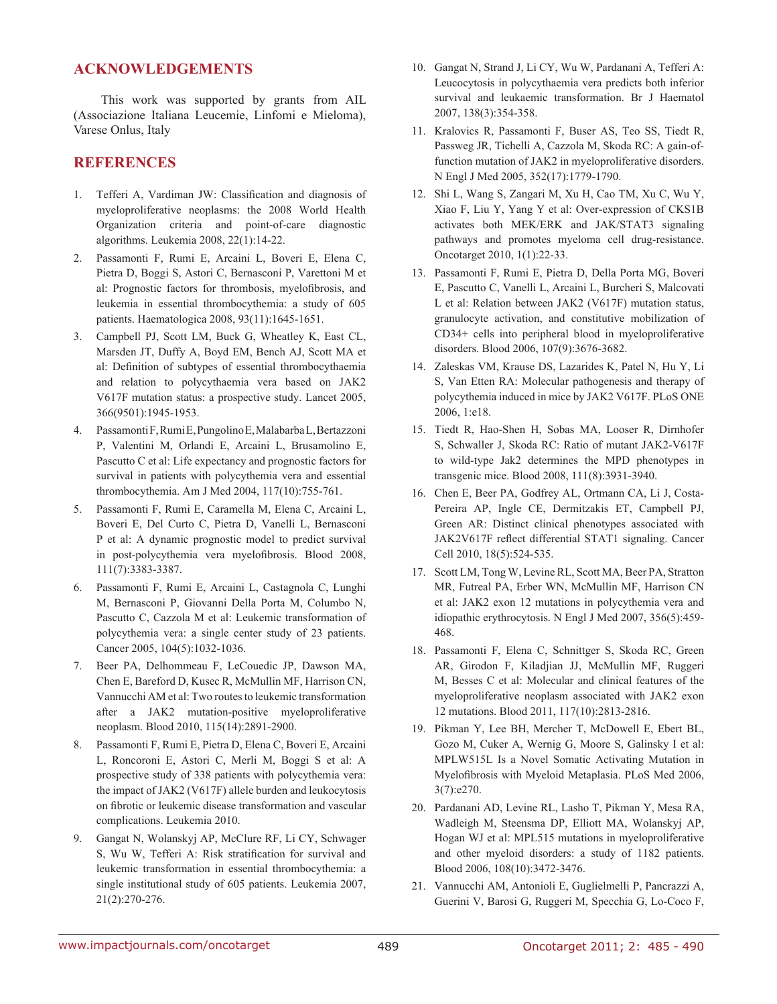## **Acknowledgements**

This work was supported by grants from AIL (Associazione Italiana Leucemie, Linfomi e Mieloma), Varese Onlus, Italy

### **References**

- 1. Tefferi A, Vardiman JW: Classification and diagnosis of myeloproliferative neoplasms: the 2008 World Health Organization criteria and point-of-care diagnostic algorithms. Leukemia 2008, 22(1):14-22.
- 2. Passamonti F, Rumi E, Arcaini L, Boveri E, Elena C, Pietra D, Boggi S, Astori C, Bernasconi P, Varettoni M et al: Prognostic factors for thrombosis, myelofibrosis, and leukemia in essential thrombocythemia: a study of 605 patients. Haematologica 2008, 93(11):1645-1651.
- 3. Campbell PJ, Scott LM, Buck G, Wheatley K, East CL, Marsden JT, Duffy A, Boyd EM, Bench AJ, Scott MA et al: Definition of subtypes of essential thrombocythaemia and relation to polycythaemia vera based on JAK2 V617F mutation status: a prospective study. Lancet 2005, 366(9501):1945-1953.
- 4. Passamonti F, Rumi E, Pungolino E, Malabarba L, Bertazzoni P, Valentini M, Orlandi E, Arcaini L, Brusamolino E, Pascutto C et al: Life expectancy and prognostic factors for survival in patients with polycythemia vera and essential thrombocythemia. Am J Med 2004, 117(10):755-761.
- 5. Passamonti F, Rumi E, Caramella M, Elena C, Arcaini L, Boveri E, Del Curto C, Pietra D, Vanelli L, Bernasconi P et al: A dynamic prognostic model to predict survival in post-polycythemia vera myelofibrosis. Blood 2008, 111(7):3383-3387.
- 6. Passamonti F, Rumi E, Arcaini L, Castagnola C, Lunghi M, Bernasconi P, Giovanni Della Porta M, Columbo N, Pascutto C, Cazzola M et al: Leukemic transformation of polycythemia vera: a single center study of 23 patients. Cancer 2005, 104(5):1032-1036.
- 7. Beer PA, Delhommeau F, LeCouedic JP, Dawson MA, Chen E, Bareford D, Kusec R, McMullin MF, Harrison CN, Vannucchi AM et al: Two routes to leukemic transformation after a JAK2 mutation-positive myeloproliferative neoplasm. Blood 2010, 115(14):2891-2900.
- 8. Passamonti F, Rumi E, Pietra D, Elena C, Boveri E, Arcaini L, Roncoroni E, Astori C, Merli M, Boggi S et al: A prospective study of 338 patients with polycythemia vera: the impact of JAK2 (V617F) allele burden and leukocytosis on fibrotic or leukemic disease transformation and vascular complications. Leukemia 2010.
- 9. Gangat N, Wolanskyj AP, McClure RF, Li CY, Schwager S, Wu W, Tefferi A: Risk stratification for survival and leukemic transformation in essential thrombocythemia: a single institutional study of 605 patients. Leukemia 2007, 21(2):270-276.
- 10. Gangat N, Strand J, Li CY, Wu W, Pardanani A, Tefferi A: Leucocytosis in polycythaemia vera predicts both inferior survival and leukaemic transformation. Br J Haematol 2007, 138(3):354-358.
- 11. Kralovics R, Passamonti F, Buser AS, Teo SS, Tiedt R, Passweg JR, Tichelli A, Cazzola M, Skoda RC: A gain-offunction mutation of JAK2 in myeloproliferative disorders. N Engl J Med 2005, 352(17):1779-1790.
- 12. Shi L, Wang S, Zangari M, Xu H, Cao TM, Xu C, Wu Y, Xiao F, Liu Y, Yang Y et al: Over-expression of CKS1B activates both MEK/ERK and JAK/STAT3 signaling pathways and promotes myeloma cell drug-resistance. Oncotarget 2010, 1(1):22-33.
- 13. Passamonti F, Rumi E, Pietra D, Della Porta MG, Boveri E, Pascutto C, Vanelli L, Arcaini L, Burcheri S, Malcovati L et al: Relation between JAK2 (V617F) mutation status, granulocyte activation, and constitutive mobilization of CD34+ cells into peripheral blood in myeloproliferative disorders. Blood 2006, 107(9):3676-3682.
- 14. Zaleskas VM, Krause DS, Lazarides K, Patel N, Hu Y, Li S, Van Etten RA: Molecular pathogenesis and therapy of polycythemia induced in mice by JAK2 V617F. PLoS ONE 2006, 1:e18.
- 15. Tiedt R, Hao-Shen H, Sobas MA, Looser R, Dirnhofer S, Schwaller J, Skoda RC: Ratio of mutant JAK2-V617F to wild-type Jak2 determines the MPD phenotypes in transgenic mice. Blood 2008, 111(8):3931-3940.
- 16. Chen E, Beer PA, Godfrey AL, Ortmann CA, Li J, Costa-Pereira AP, Ingle CE, Dermitzakis ET, Campbell PJ, Green AR: Distinct clinical phenotypes associated with JAK2V617F reflect differential STAT1 signaling. Cancer Cell 2010, 18(5):524-535.
- 17. Scott LM, Tong W, Levine RL, Scott MA, Beer PA, Stratton MR, Futreal PA, Erber WN, McMullin MF, Harrison CN et al: JAK2 exon 12 mutations in polycythemia vera and idiopathic erythrocytosis. N Engl J Med 2007, 356(5):459- 468.
- 18. Passamonti F, Elena C, Schnittger S, Skoda RC, Green AR, Girodon F, Kiladjian JJ, McMullin MF, Ruggeri M, Besses C et al: Molecular and clinical features of the myeloproliferative neoplasm associated with JAK2 exon 12 mutations. Blood 2011, 117(10):2813-2816.
- 19. Pikman Y, Lee BH, Mercher T, McDowell E, Ebert BL, Gozo M, Cuker A, Wernig G, Moore S, Galinsky I et al: MPLW515L Is a Novel Somatic Activating Mutation in Myelofibrosis with Myeloid Metaplasia. PLoS Med 2006, 3(7):e270.
- 20. Pardanani AD, Levine RL, Lasho T, Pikman Y, Mesa RA, Wadleigh M, Steensma DP, Elliott MA, Wolanskyj AP, Hogan WJ et al: MPL515 mutations in myeloproliferative and other myeloid disorders: a study of 1182 patients. Blood 2006, 108(10):3472-3476.
- 21. Vannucchi AM, Antonioli E, Guglielmelli P, Pancrazzi A, Guerini V, Barosi G, Ruggeri M, Specchia G, Lo-Coco F,